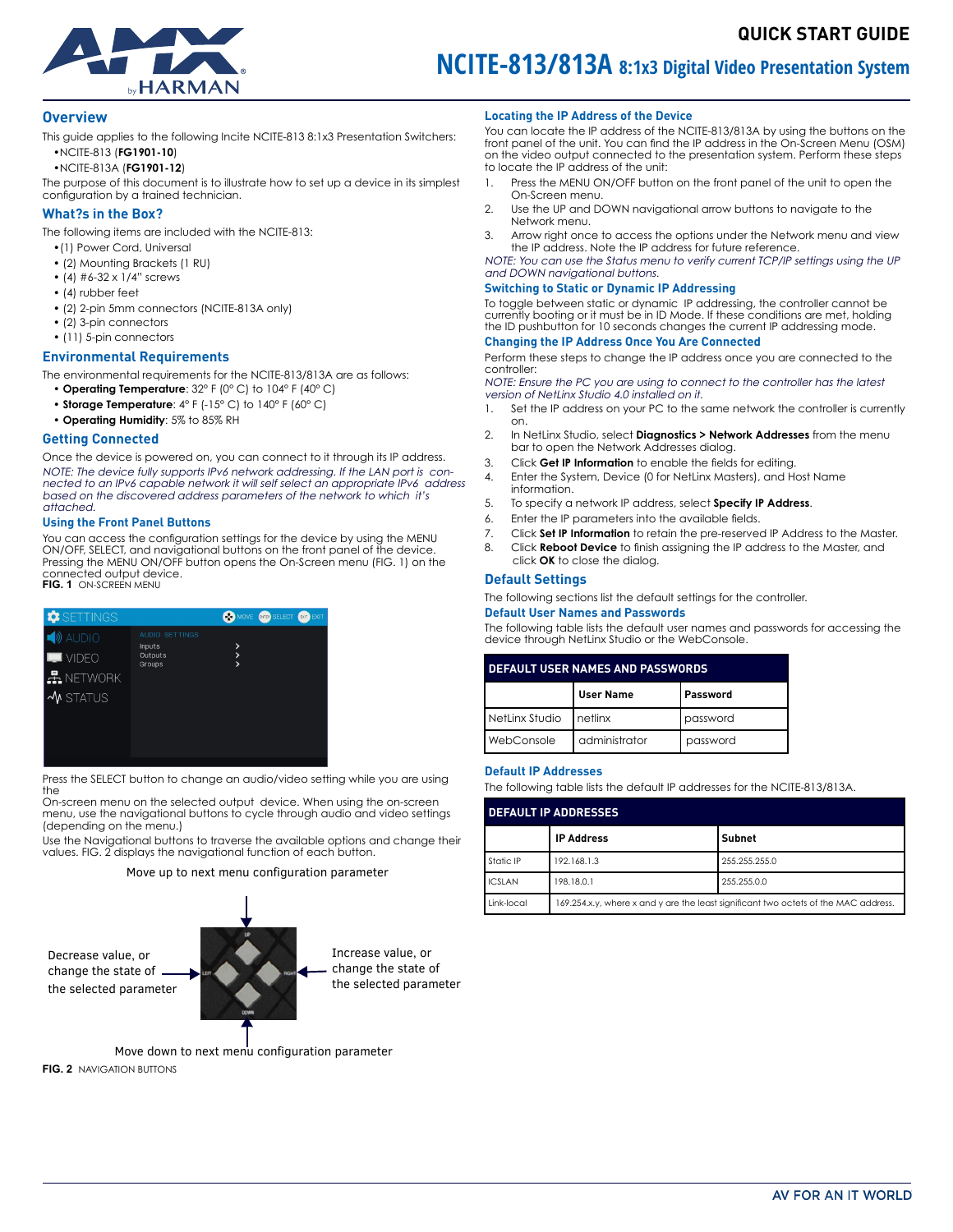

# **NCITE-813/813A 8:1x3 Digital Video Presentation System**

#### **Overview**

This guide applies to the following Incite NCITE-813 8:1x3 Presentation Switchers: •NCITE-813 (**FG1901-10**)

•NCITE-813A (**FG1901-12**)

The purpose of this document is to illustrate how to set up a device in its simplest configuration by a trained technician.

# **What?s in the Box?**

The following items are included with the NCITE-813:

- •(1) Power Cord, Universal
- (2) Mounting Brackets (1 RU) • (4)  $#6-32 \times 1/4"$  screws
- (4) rubber feet
- (2) 2-pin 5mm connectors (NCITE-813A only)
- (2) 3-pin connectors
- (11) 5-pin connectors

#### **Environmental Requirements**

The environmental requirements for the NCITE-813/813A are as follows:

- • **Operating Temperature**: 32° F (0° C) to 104° F (40° C)
- • **Storage Temperature**: 4° F (-15° C) to 140° F (60° C)
- • **Operating Humidity**: 5% to 85% RH

#### **Getting Connected**

Once the device is powered on, you can connect to it through its IP address. NOTE: The device fully supports IPv6 network addressing. If the LAN port is connected to an IPv6 capable network it will self select an appropriate IPv6 address based on the discovered address parameters of the network to which it's attached.

#### **Using the Front Panel Buttons**

You can access the configuration settings for the device by using the MENU ON/OFF, SELECT, and navigational buttons on the front panel of the device. Pressing the MENU ON/OFF button opens the On-Screen menu [\(FIG. 1](#page-0-0)) on the connected output device. **FIG. 1** ON-SCREEN MENU

# **CO** MOY Inputs **Outputs** VIDEO  $\pm$  Network  $\boldsymbol{\mathsf{\Psi}}$  status

Press the SELECT button to change an audio/video setting while you are using the

On-screen menu on the selected output device. When using the on-screen menu, use the navigational buttons to cycle through audio and video settings (depending on the menu.)

Use the Navigational buttons to traverse the available options and change their values. [FIG. 2](#page-0-0) displays the navigational function of each button.

#### Move up to next menu configuration parameter



#### <span id="page-0-0"></span>**Locating the IP Address of the Device**

You can locate the IP address of the NCITE-813/813A by using the buttons on the front panel of the unit. You can find the IP address in the On-Screen Menu (OSM) on the video output connected to the presentation system. Perform these steps to locate the IP address of the unit:

- 1. Press the MENU ON/OFF button on the front panel of the unit to open the On-Screen menu.
- 2. Use the UP and DOWN navigational arrow buttons to navigate to the Network menu.
- 3. Arrow right once to access the options under the Network menu and view the IP address. Note the IP address for future reference.

NOTE: You can use the Status menu to verify current TCP/IP settings using the UP and DOWN navigational buttons.

#### **Switching to Static or Dynamic IP Addressing**

To toggle between static or dynamic IP addressing, the controller cannot be currently booting or it must be in ID Mode. If these conditions are met, holding the ID pushbutton for 10 seconds changes the current IP addressing mode.

#### **Changing the IP Address Once You Are Connected**

Perform these steps to change the IP address once you are connected to the controller:

NOTE: Ensure the PC you are using to connect to the controller has the latest version of NetLinx Studio 4.0 installed on it.

- 1. Set the IP address on your PC to the same network the controller is currently on.
- 2. In NetLinx Studio, select **Diagnostics > Network Addresses** from the menu bar to open the Network Addresses dialog.
- 3. Click **Get IP Information** to enable the fields for editing.
- 4. Enter the System, Device (0 for NetLinx Masters), and Host Name information.
- 5. To specify a network IP address, select **Specify IP Address**.
- 6. Enter the IP parameters into the available fields.
- 7. Click **Set IP Information** to retain the pre-reserved IP Address to the Master.
- 8. Click **Reboot Device** to finish assigning the IP address to the Master, and click **OK** to close the dialog.

#### **Default Settings**

The following sections list the default settings for the controller.

#### **Default User Names and Passwords**

The following table lists the default user names and passwords for accessing the device through NetLinx Studio or the WebConsole.

|  | <b>DEFAULT USER NAMES AND PASSWORDS</b> |                  |          |  |
|--|-----------------------------------------|------------------|----------|--|
|  |                                         | <b>User Name</b> | Password |  |
|  | NetLinx Studio   netlinx                |                  | password |  |
|  | WebConsole                              | administrator    | password |  |

#### **Default IP Addresses**

The following table lists the default IP addresses for the NCITE-813/813A.

| <b>DEFAULT IP ADDRESSES</b> |                                                                                     |               |  |
|-----------------------------|-------------------------------------------------------------------------------------|---------------|--|
|                             | <b>IP Address</b>                                                                   | Subnet        |  |
| Static IP                   | 192.168.1.3                                                                         | 255.255.255.0 |  |
| <b>ICSLAN</b>               | 198.18.0.1                                                                          | 255.255.0.0   |  |
| Link-local                  | 169.254.x.y, where x and y are the least significant two octets of the MAC address. |               |  |